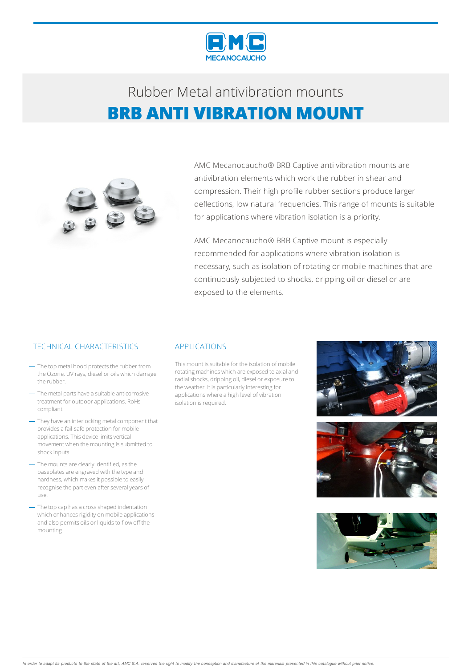



AMC Mecanocaucho® BRB Captive anti vibration mounts are antivibration elements which work the rubber in shear and compression. Their high profile rubber sections produce larger deflections, low natural frequencies. This range of mounts is suitable for applications where vibration isolation is a priority.

AMC Mecanocaucho® BRB Captive mount is especially recommended for applications where vibration isolation is necessary, such as isolation of rotating or mobile machines that are continuously subjected to shocks, dripping oil or diesel or are exposed to the elements.

### TECHNICAL CHARACTERISTICS APPLICATIONS

- The top metal hood protects the rubber from the Ozone, UV rays, diesel or oils which damage the rubber.
- The metal parts have a suitable anticorrosive treatment for outdoorapplications. RoHs compliant.
- They have an interlocking metal component that provides a fail-safe protection for mobile applications. This device limits vertical movement when the mounting is submitted to shockinputs.
- The mounts are clearly identified, as the baseplates are engraved with the type and hardness, which makes it possible to easily recognise the part even after several years of use.
- The top cap has a cross shaped indentation which enhances rigidity on mobile applications and also permits oils or liquids to flow off the mounting.

This mount is suitable for the isolation of mobile rotating machines which are exposed to axial and radial shocks, dripping oil, diesel or exposure to the weather. It is particularly interesting for applications where a high level of vibration isolation is required.





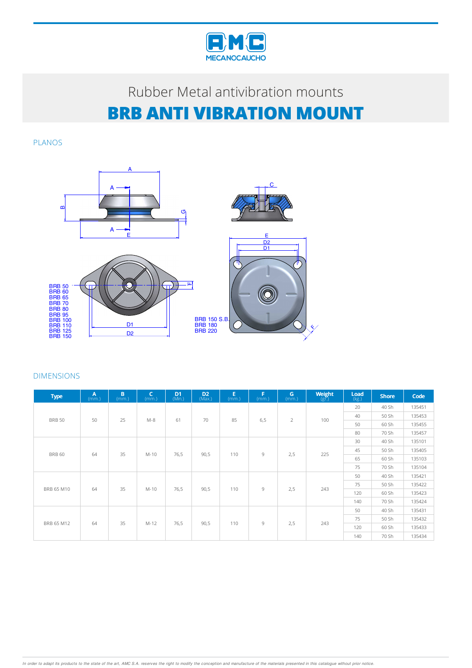

PLANOS



| <b>Type</b>   | A<br>(mm.) | B<br>(mm.) | C<br>(mm.) | D <sub>1</sub><br>(Min.) | $D2$ (Max.) | E<br>(mm.) | F<br>(mm.) | G<br>(mm.)     | Weight<br>$(g\bar{r})$ | Load<br>(kg.) | <b>Shore</b> | Code   |
|---------------|------------|------------|------------|--------------------------|-------------|------------|------------|----------------|------------------------|---------------|--------------|--------|
| <b>BRB 50</b> | 50         | 25         | $M-8$      |                          | 70          | 85         | 6,5        | $\overline{2}$ | 100                    | 20            | 40 Sh        | 135451 |
|               |            |            |            | 61                       |             |            |            |                |                        | 40            | 50 Sh        | 135453 |
|               |            |            |            |                          |             |            |            |                |                        | 50            | 60 Sh        | 135455 |
|               |            |            |            |                          |             |            |            |                |                        | 80            | 70 Sh        | 135457 |
| <b>BRB 60</b> |            |            |            |                          |             |            |            | 9<br>2,5       | 225                    | 30            | 40 Sh        | 135101 |
|               | 64         | 35         |            |                          |             |            |            |                |                        | 45            | 50 Sh        | 135405 |
|               |            |            | M-10       | 76,5                     | 90,5        | 110        |            |                |                        | 65            | 60 Sh        | 135103 |
|               |            |            |            |                          |             |            |            |                |                        | 75            | 70 Sh        | 135104 |
|               | 64         | 35         | $M-10$     | 76,5                     | 90,5        | 110        | 9          | 2,5            | 243                    | 50            | 40 Sh        | 135421 |
|               |            |            |            |                          |             |            |            |                |                        | 75            | 50 Sh        | 135422 |
| BRB 65 M10    |            |            |            |                          |             |            |            |                |                        | 120           | 60 Sh        | 135423 |
|               |            |            |            |                          |             |            |            |                |                        | 140           | 70 Sh        | 135424 |
|               |            | 64<br>35   | M-12       | 76,5                     | 90,5        | 110        | 9          | 2,5            | 243                    | 50            | 40 Sh        | 135431 |
|               |            |            |            |                          |             |            |            |                |                        | 75            | 50 Sh        | 135432 |
| BRB 65 M12    |            |            |            |                          |             |            |            |                |                        | 120           | 60 Sh        | 135433 |
|               |            |            |            |                          |             |            |            |                |                        | 140           | 70 Sh        | 135434 |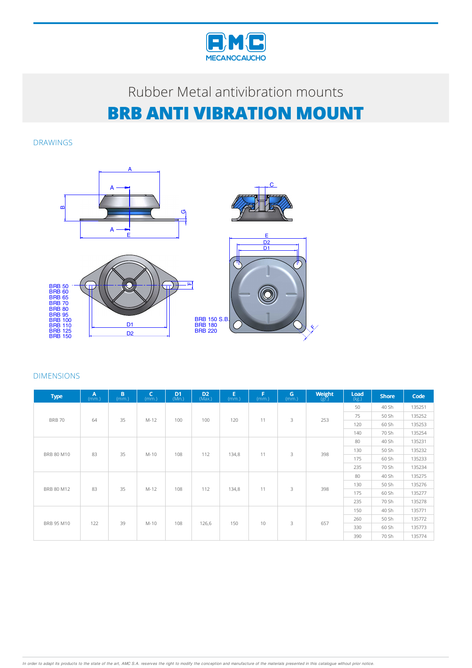

DRAWINGS



| <b>Type</b>   | $A$ <sub>(mm.)</sub> | B<br>(mm.) | $\mathsf{C}$<br>(mm.) | D <sub>1</sub><br>(Min.) | D <sub>2</sub><br>(Max.) | Е<br>(mm.) | Е<br>(mm.) | G<br>(mm.) | Weight<br>(gr.) | Load<br>(kg.) | <b>Shore</b>                                                                  | Code   |
|---------------|----------------------|------------|-----------------------|--------------------------|--------------------------|------------|------------|------------|-----------------|---------------|-------------------------------------------------------------------------------|--------|
| <b>BRB 70</b> | 64                   |            | M-12                  | 100                      | 100                      | 120        | 11         | 3          | 253             | 50            | 40 Sh                                                                         | 135251 |
|               |                      | 35         |                       |                          |                          |            |            |            |                 | 75            | 50 Sh                                                                         | 135252 |
|               |                      |            |                       |                          |                          |            |            |            |                 | 120           | 60 Sh                                                                         | 135253 |
|               |                      |            |                       |                          |                          |            |            |            |                 | 140           | 70 Sh<br>40 Sh<br>50 Sh<br>60 Sh<br>70 Sh<br>40 Sh<br>50 Sh<br>60 Sh<br>70 Sh | 135254 |
| BRB 80 M10    |                      |            |                       |                          |                          |            | 3<br>11    |            |                 | 80            |                                                                               | 135231 |
|               | 83                   | 35         |                       |                          |                          |            |            | 398        | 130             |               | 135232                                                                        |        |
|               |                      |            | M-10                  | 108                      | 112                      | 134,8      |            |            |                 | 175           |                                                                               | 135233 |
|               |                      |            |                       |                          |                          |            |            |            |                 | 235           |                                                                               | 135234 |
|               | 83                   | 35         | M-12                  | 108                      | 112                      | 134,8      | 11         | 3          | 398             | 80            |                                                                               | 135275 |
| BRB 80 M12    |                      |            |                       |                          |                          |            |            |            |                 | 130           |                                                                               | 135276 |
|               |                      |            |                       |                          |                          |            |            |            |                 | 175           |                                                                               | 135277 |
|               |                      |            |                       |                          |                          |            |            |            |                 | 235           |                                                                               | 135278 |
|               |                      |            | 39<br>M-10            | 108                      | 126,6                    | 150        | 10         | 3          | 657             | 150           | 40 Sh                                                                         | 135771 |
| BRB 95 M10    |                      |            |                       |                          |                          |            |            |            |                 | 260           | 50 Sh                                                                         | 135772 |
|               | 122                  |            |                       |                          |                          |            |            |            |                 | 330           | 60 Sh                                                                         | 135773 |
|               |                      |            |                       |                          |                          |            |            |            | 390             | 70 Sh         | 135774                                                                        |        |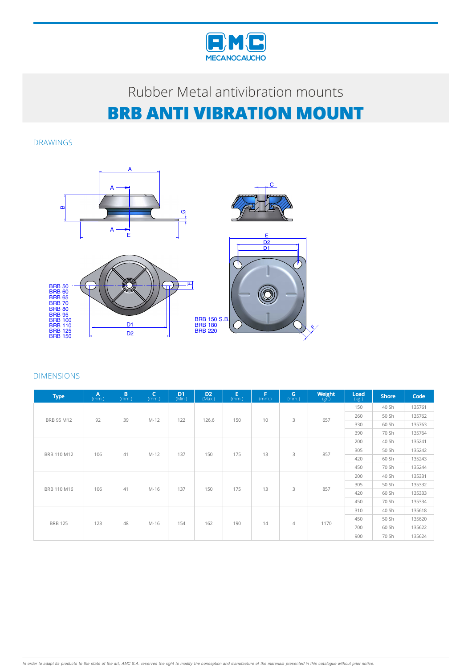

DRAWINGS



| <b>Type</b>    | A<br>(mm.) | B<br>(mm.) | C<br>(mm.) | D <sub>1</sub><br>(Nin.) | D <sub>2</sub><br>(Max.) | E<br>(mm.) | F<br>(mm.) | $\mathbf{G}$ (mm.) | Weight<br>(gr.) | Load<br>(kg.) | <b>Shore</b>                                                                  | Code   |
|----------------|------------|------------|------------|--------------------------|--------------------------|------------|------------|--------------------|-----------------|---------------|-------------------------------------------------------------------------------|--------|
|                |            |            |            |                          |                          | 150        | 10         | 3                  | 657             | 150           | 40 Sh                                                                         | 135761 |
| BRB 95 M12     | 92         | 39         |            | 122                      | 126,6                    |            |            |                    |                 | 260           | 50 Sh                                                                         | 135762 |
|                |            |            | $M-12$     |                          |                          |            |            |                    |                 | 330           | 60 Sh                                                                         | 135763 |
|                |            |            |            |                          |                          |            |            |                    |                 | 390           | 70 Sh<br>40 Sh<br>50 Sh<br>60 Sh<br>70 Sh<br>40 Sh<br>50 Sh<br>60 Sh<br>70 Sh | 135764 |
|                |            |            |            |                          |                          |            |            | 3                  | 857             | 200           |                                                                               | 135241 |
|                | 106        | 41         | M-12       | 137                      | 150                      | 175        | 13         |                    |                 | 305           |                                                                               | 135242 |
| BRB 110 M12    |            |            |            |                          |                          |            |            |                    |                 | 420           |                                                                               | 135243 |
|                |            |            |            |                          |                          |            |            |                    |                 | 450           |                                                                               | 135244 |
|                | 106        | 41         |            | 137                      | 150                      | 175        | 13         | 3                  | 857             | 200           |                                                                               | 135331 |
| BRB 110 M16    |            |            | M-16       |                          |                          |            |            |                    |                 | 305           |                                                                               | 135332 |
|                |            |            |            |                          |                          |            |            |                    |                 | 420           |                                                                               | 135333 |
|                |            |            |            |                          |                          |            |            |                    |                 | 450           |                                                                               | 135334 |
|                |            | 48<br>123  |            | 154                      | 162                      | 190        |            |                    | 1170            | 310           | 40 Sh                                                                         | 135618 |
|                |            |            | M-16       |                          |                          |            |            |                    |                 | 450           | 50 Sh                                                                         | 135620 |
| <b>BRB 125</b> |            |            |            |                          |                          |            | 14         | $\overline{4}$     |                 | 700           | 60 Sh                                                                         | 135622 |
|                |            |            |            |                          |                          |            |            |                    |                 | 900           | 70 Sh                                                                         | 135624 |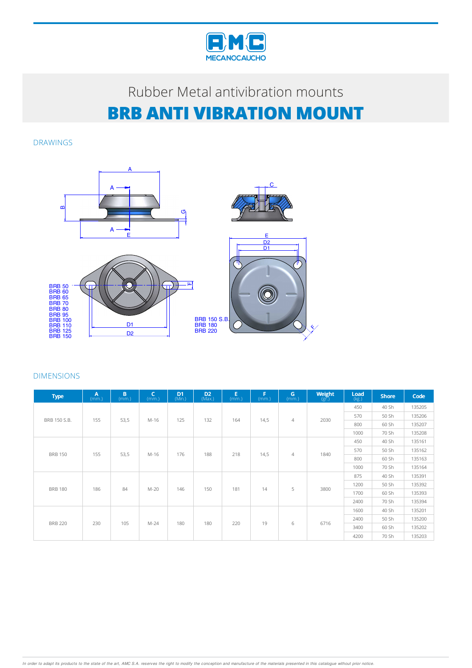

DRAWINGS



| <b>Type</b>    | A<br>(mm.) | B.<br>(mm.) | $\mathsf{C}$<br>(mm.) | D <sub>1</sub><br>(Min.) | D <sub>2</sub><br>(Max.) | E<br>(mm.) | F<br>(mm.) | G<br>(mm.)     | Weight<br>$(g\bar{r})$ | Load<br>(kg.) | <b>Shore</b> | Code   |        |
|----------------|------------|-------------|-----------------------|--------------------------|--------------------------|------------|------------|----------------|------------------------|---------------|--------------|--------|--------|
|                | 155        |             |                       |                          |                          | 164        | 14,5       | $\overline{4}$ | 2030                   | 450           | 40 Sh        | 135205 |        |
| BRB 150 S.B.   |            | 53,5        | M-16                  | 125                      | 132                      |            |            |                |                        | 570           | 50 Sh        | 135206 |        |
|                |            |             |                       |                          |                          |            |            |                |                        | 800           | 60 Sh        | 135207 |        |
|                |            |             |                       |                          |                          |            |            |                |                        | 1000          | 70 Sh        | 135208 |        |
| <b>BRB 150</b> |            |             |                       |                          |                          |            |            | $\overline{4}$ | 1840                   | 450           | 40 Sh        | 135161 |        |
|                | 155        |             | M-16                  | 176                      | 188                      | 218        | 14,5       |                |                        | 570           | 50 Sh        | 135162 |        |
|                |            | 53,5        |                       |                          |                          |            |            |                |                        | 800           | 60 Sh        | 135163 |        |
|                |            |             |                       |                          |                          |            |            |                |                        | 1000          | 70 Sh        | 135164 |        |
|                | 186        | 84          | $M-20$                | 146                      | 150                      | 181        | 14         | 5              | 3800                   | 875           | 40 Sh        | 135391 |        |
| <b>BRB 180</b> |            |             |                       |                          |                          |            |            |                |                        | 1200          | 50 Sh        | 135392 |        |
|                |            |             |                       |                          |                          |            |            |                |                        | 1700          | 60 Sh        | 135393 |        |
|                |            |             |                       |                          |                          |            |            |                |                        | 2400          | 70 Sh        | 135394 |        |
|                |            | 230<br>105  |                       |                          |                          |            |            |                |                        |               | 1600         | 40 Sh  | 135201 |
|                |            |             | $M-24$                | 180                      | 180                      | 220        | 19         |                |                        | 2400          | 50 Sh        | 135200 |        |
| <b>BRB 220</b> |            |             |                       |                          |                          |            |            | 6              | 6716                   | 3400          | 60 Sh        | 135202 |        |
|                |            |             |                       |                          |                          |            |            |                |                        | 4200          | 70 Sh        | 135203 |        |